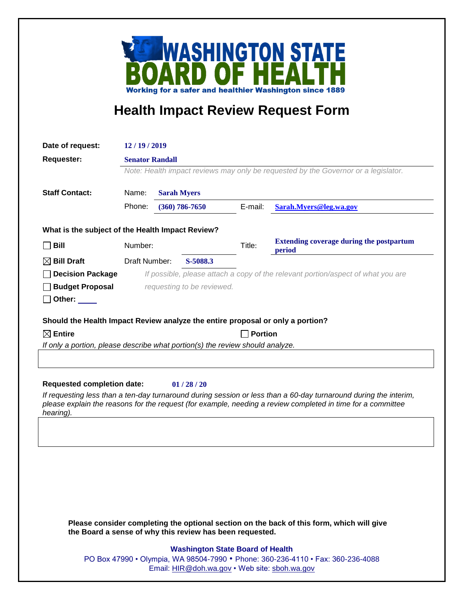

## **Health Impact Review Request Form**

| Date of request:                                                                                                                                                                                                                                                                              | 12/19/2019                                                                         |                    |          |                                                           |                        |
|-----------------------------------------------------------------------------------------------------------------------------------------------------------------------------------------------------------------------------------------------------------------------------------------------|------------------------------------------------------------------------------------|--------------------|----------|-----------------------------------------------------------|------------------------|
| <b>Requester:</b>                                                                                                                                                                                                                                                                             | <b>Senator Randall</b>                                                             |                    |          |                                                           |                        |
|                                                                                                                                                                                                                                                                                               | Note: Health impact reviews may only be requested by the Governor or a legislator. |                    |          |                                                           |                        |
| <b>Staff Contact:</b>                                                                                                                                                                                                                                                                         | Name:<br><b>Sarah Myers</b>                                                        |                    |          |                                                           |                        |
|                                                                                                                                                                                                                                                                                               | Phone:                                                                             | $(360) 786 - 7650$ |          | E-mail:                                                   | Sarah.Myers@leg.wa.gov |
| What is the subject of the Health Impact Review?                                                                                                                                                                                                                                              |                                                                                    |                    |          |                                                           |                        |
| <b>Bill</b>                                                                                                                                                                                                                                                                                   | Number:                                                                            |                    | Title:   | <b>Extending coverage during the postpartum</b><br>period |                        |
| $\boxtimes$ Bill Draft                                                                                                                                                                                                                                                                        | Draft Number:                                                                      |                    | S-5088.3 |                                                           |                        |
| <b>Decision Package</b>                                                                                                                                                                                                                                                                       | If possible, please attach a copy of the relevant portion/aspect of what you are   |                    |          |                                                           |                        |
| <b>Budget Proposal</b><br>Other: $\_\_$                                                                                                                                                                                                                                                       | requesting to be reviewed.                                                         |                    |          |                                                           |                        |
| Should the Health Impact Review analyze the entire proposal or only a portion?                                                                                                                                                                                                                |                                                                                    |                    |          |                                                           |                        |
| $\boxtimes$ Entire                                                                                                                                                                                                                                                                            | <b>Portion</b>                                                                     |                    |          |                                                           |                        |
| If only a portion, please describe what portion(s) the review should analyze.                                                                                                                                                                                                                 |                                                                                    |                    |          |                                                           |                        |
|                                                                                                                                                                                                                                                                                               |                                                                                    |                    |          |                                                           |                        |
| <b>Requested completion date:</b><br>01/28/20<br>If requesting less than a ten-day turnaround during session or less than a 60-day turnaround during the interim,<br>please explain the reasons for the request (for example, needing a review completed in time for a committee<br>hearing). |                                                                                    |                    |          |                                                           |                        |
|                                                                                                                                                                                                                                                                                               |                                                                                    |                    |          |                                                           |                        |
|                                                                                                                                                                                                                                                                                               |                                                                                    |                    |          |                                                           |                        |
| Please consider completing the optional section on the back of this form, which will give<br>the Board a sense of why this review has been requested.                                                                                                                                         |                                                                                    |                    |          |                                                           |                        |
| <b>Washington State Board of Health</b><br>PO Box 47990 • Olympia, WA 98504-7990 • Phone: 360-236-4110 • Fax: 360-236-4088<br>Email: HIR@doh.wa.gov • Web site: sboh.wa.gov                                                                                                                   |                                                                                    |                    |          |                                                           |                        |